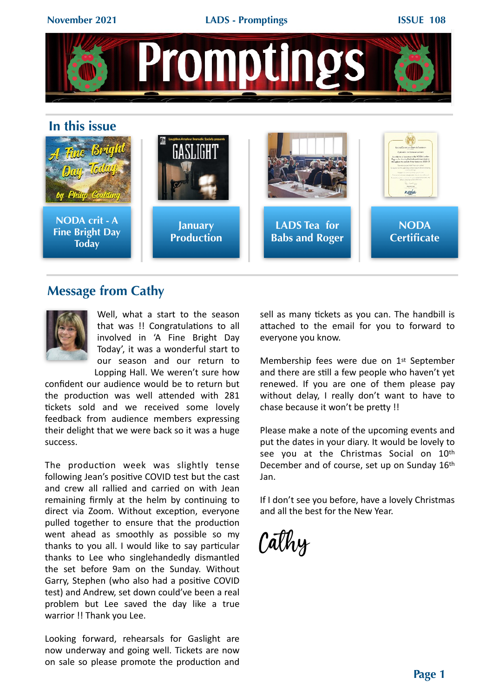

## **Message from Cathy**



Well, what a start to the season that was !! Congratulations to all involved in 'A Fine Bright Day Today', it was a wonderful start to our season and our return to

Lopping Hall. We weren't sure how confident our audience would be to return but the production was well attended with 281 tickets sold and we received some lovely feedback from audience members expressing their delight that we were back so it was a huge success.

The production week was slightly tense following Jean's positive COVID test but the cast and crew all rallied and carried on with Jean remaining firmly at the helm by continuing to direct via Zoom. Without exception, everyone pulled together to ensure that the production went ahead as smoothly as possible so my thanks to you all. I would like to say particular thanks to Lee who singlehandedly dismantled the set before 9am on the Sunday. Without Garry, Stephen (who also had a positive COVID test) and Andrew, set down could've been a real problem but Lee saved the day like a true warrior !! Thank you Lee.

Looking forward, rehearsals for Gaslight are now underway and going well. Tickets are now on sale so please promote the production and sell as many tickets as you can. The handbill is attached to the email for you to forward to everyone you know.

Membership fees were due on 1<sup>st</sup> September and there are still a few people who haven't yet renewed. If you are one of them please pay without delay, I really don't want to have to chase because it won't be pretty !!

Please make a note of the upcoming events and put the dates in your diary. It would be lovely to see you at the Christmas Social on 10th December and of course, set up on Sunday 16th Jan.

If I don't see you before, have a lovely Christmas and all the best for the New Year.

Cathy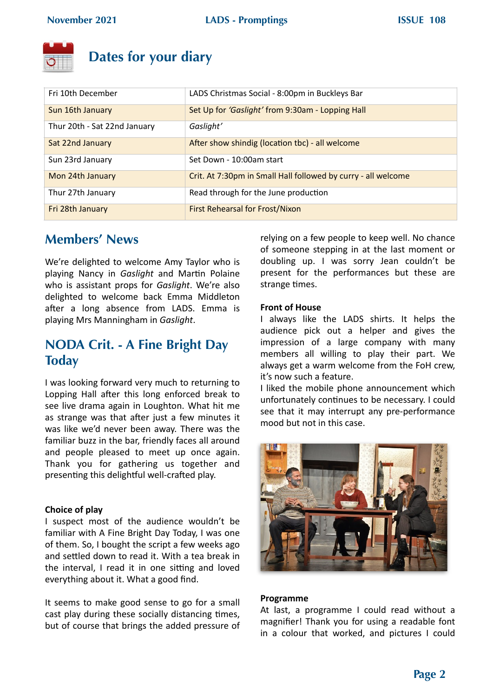

# **Dates for your diary**

| Fri 10th December            | LADS Christmas Social - 8:00pm in Buckleys Bar                |
|------------------------------|---------------------------------------------------------------|
| Sun 16th January             | Set Up for 'Gaslight' from 9:30am - Lopping Hall              |
| Thur 20th - Sat 22nd January | Gaslight'                                                     |
| Sat 22nd January             | After show shindig (location tbc) - all welcome               |
| Sun 23rd January             | Set Down - 10:00am start                                      |
| Mon 24th January             | Crit. At 7:30pm in Small Hall followed by curry - all welcome |
| Thur 27th January            | Read through for the June production                          |
| Fri 28th January             | First Rehearsal for Frost/Nixon                               |

# **Members' News**

We're delighted to welcome Amy Taylor who is playing Nancy in *Gaslight* and Martin Polaine who is assistant props for *Gaslight*. We're also delighted to welcome back Emma Middleton after a long absence from LADS. Emma is playing Mrs Manningham in *Gaslight*. 

# **NODA Crit. - A Fine Bright Day Today**

I was looking forward very much to returning to Lopping Hall after this long enforced break to see live drama again in Loughton. What hit me as strange was that after just a few minutes it was like we'd never been away. There was the familiar buzz in the bar, friendly faces all around and people pleased to meet up once again. Thank you for gathering us together and presenting this delightful well-crafted play.

### **Choice of play**

I suspect most of the audience wouldn't be familiar with A Fine Bright Day Today, I was one of them. So, I bought the script a few weeks ago and settled down to read it. With a tea break in the interval, I read it in one sitting and loved everything about it. What a good find.

It seems to make good sense to go for a small cast play during these socially distancing times, but of course that brings the added pressure of relying on a few people to keep well. No chance of someone stepping in at the last moment or doubling up. I was sorry Jean couldn't be present for the performances but these are strange times.

### **Front of House**

I always like the LADS shirts. It helps the audience pick out a helper and gives the impression of a large company with many members all willing to play their part. We always get a warm welcome from the FoH crew, it's now such a feature.

I liked the mobile phone announcement which unfortunately continues to be necessary. I could see that it may interrupt any pre-performance mood but not in this case.



#### **Programme**

At last, a programme I could read without a magnifier! Thank you for using a readable font in a colour that worked, and pictures I could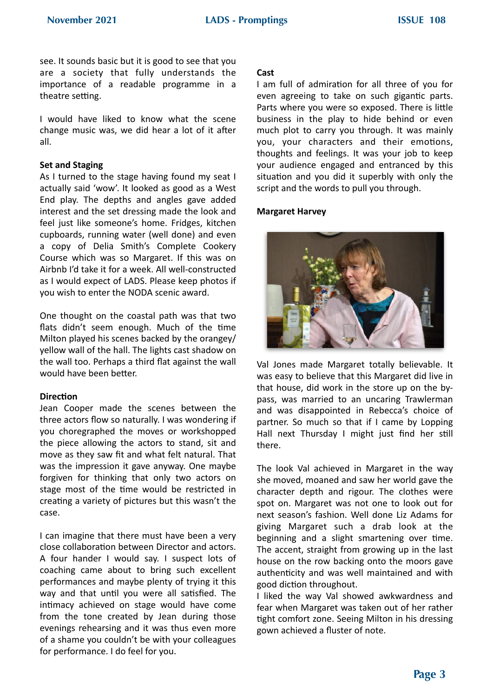see. It sounds basic but it is good to see that you are a society that fully understands the importance of a readable programme in a theatre setting.

I would have liked to know what the scene change music was, we did hear a lot of it after all.

#### **Set and Staging**

As I turned to the stage having found my seat I actually said 'wow'. It looked as good as a West End play. The depths and angles gave added interest and the set dressing made the look and feel just like someone's home. Fridges, kitchen cupboards, running water (well done) and even a copy of Delia Smith's Complete Cookery Course which was so Margaret. If this was on Airbnb I'd take it for a week. All well-constructed as I would expect of LADS. Please keep photos if you wish to enter the NODA scenic award.

One thought on the coastal path was that two flats didn't seem enough. Much of the time Milton played his scenes backed by the orangey/ yellow wall of the hall. The lights cast shadow on the wall too. Perhaps a third flat against the wall would have been better.

#### **Direction**

Jean Cooper made the scenes between the three actors flow so naturally. I was wondering if you choregraphed the moves or workshopped the piece allowing the actors to stand, sit and move as they saw fit and what felt natural. That was the impression it gave anyway. One maybe forgiven for thinking that only two actors on stage most of the time would be restricted in creating a variety of pictures but this wasn't the case. 

I can imagine that there must have been a very close collaboration between Director and actors. A four hander I would say. I suspect lots of coaching came about to bring such excellent performances and maybe plenty of trying it this way and that until you were all satisfied. The intimacy achieved on stage would have come from the tone created by Jean during those evenings rehearsing and it was thus even more of a shame you couldn't be with your colleagues for performance. I do feel for you.

#### **Cast**

I am full of admiration for all three of you for even agreeing to take on such gigantic parts. Parts where you were so exposed. There is little business in the play to hide behind or even much plot to carry you through. It was mainly you, your characters and their emotions, thoughts and feelings. It was your job to keep your audience engaged and entranced by this situation and you did it superbly with only the script and the words to pull you through.

#### **Margaret Harvey**



Val Jones made Margaret totally believable. It was easy to believe that this Margaret did live in that house, did work in the store up on the bypass, was married to an uncaring Trawlerman and was disappointed in Rebecca's choice of partner. So much so that if I came by Lopping Hall next Thursday I might just find her still there.

The look Val achieved in Margaret in the way she moved, moaned and saw her world gave the character depth and rigour. The clothes were spot on. Margaret was not one to look out for next season's fashion. Well done Liz Adams for giving Margaret such a drab look at the beginning and a slight smartening over time. The accent, straight from growing up in the last house on the row backing onto the moors gave authenticity and was well maintained and with good diction throughout.

I liked the way Val showed awkwardness and fear when Margaret was taken out of her rather tight comfort zone. Seeing Milton in his dressing gown achieved a fluster of note.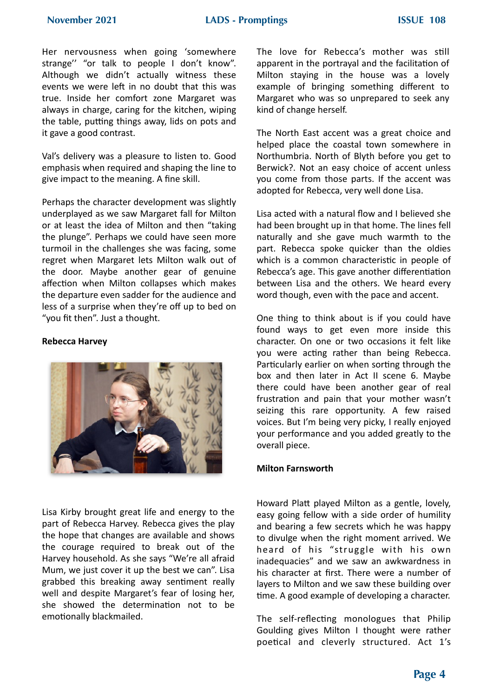Her nervousness when going 'somewhere strange" "or talk to people I don't know". Although we didn't actually witness these events we were left in no doubt that this was true. Inside her comfort zone Margaret was always in charge, caring for the kitchen, wiping the table, putting things away, lids on pots and it gave a good contrast.

Val's delivery was a pleasure to listen to. Good emphasis when required and shaping the line to give impact to the meaning. A fine skill.

Perhaps the character development was slightly underplayed as we saw Margaret fall for Milton or at least the idea of Milton and then "taking the plunge". Perhaps we could have seen more turmoil in the challenges she was facing, some regret when Margaret lets Milton walk out of the door. Maybe another gear of genuine affection when Milton collapses which makes the departure even sadder for the audience and less of a surprise when they're off up to bed on "you fit then". Just a thought.

#### **Rebecca Harvey**



Lisa Kirby brought great life and energy to the part of Rebecca Harvey. Rebecca gives the play the hope that changes are available and shows the courage required to break out of the Harvey household. As she says "We're all afraid Mum, we just cover it up the best we can". Lisa grabbed this breaking away sentiment really well and despite Margaret's fear of losing her, she showed the determination not to be emotionally blackmailed.

The love for Rebecca's mother was still apparent in the portrayal and the facilitation of Milton staying in the house was a lovely example of bringing something different to Margaret who was so unprepared to seek any kind of change herself.

The North East accent was a great choice and helped place the coastal town somewhere in Northumbria. North of Blyth before you get to Berwick?. Not an easy choice of accent unless you come from those parts. If the accent was adopted for Rebecca, very well done Lisa.

Lisa acted with a natural flow and I believed she had been brought up in that home. The lines fell naturally and she gave much warmth to the part. Rebecca spoke quicker than the oldies which is a common characteristic in people of Rebecca's age. This gave another differentiation between Lisa and the others. We heard every word though, even with the pace and accent.

One thing to think about is if you could have found ways to get even more inside this character. On one or two occasions it felt like you were acting rather than being Rebecca. Particularly earlier on when sorting through the box and then later in Act II scene 6. Maybe there could have been another gear of real frustration and pain that your mother wasn't seizing this rare opportunity. A few raised voices. But I'm being very picky, I really enjoyed your performance and you added greatly to the overall piece.

#### **Milton Farnsworth**

Howard Platt played Milton as a gentle, lovely, easy going fellow with a side order of humility and bearing a few secrets which he was happy to divulge when the right moment arrived. We heard of his "struggle with his own inadequacies" and we saw an awkwardness in his character at first. There were a number of layers to Milton and we saw these building over time. A good example of developing a character.

The self-reflecting monologues that Philip Goulding gives Milton I thought were rather poetical and cleverly structured. Act 1's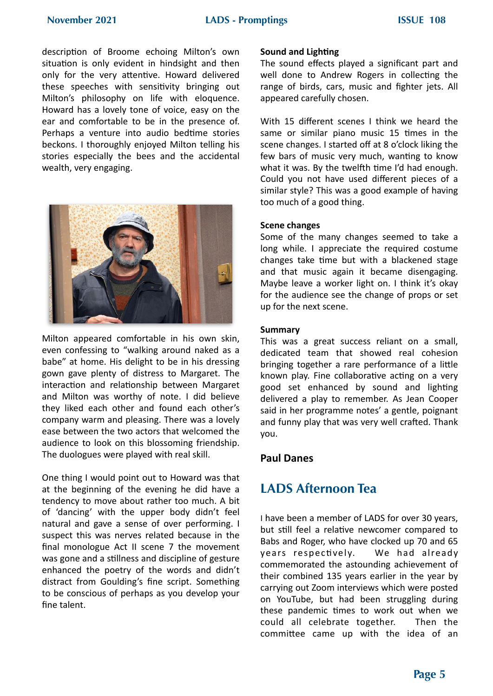description of Broome echoing Milton's own situation is only evident in hindsight and then only for the very attentive. Howard delivered these speeches with sensitivity bringing out Milton's philosophy on life with eloquence. Howard has a lovely tone of voice, easy on the ear and comfortable to be in the presence of. Perhaps a venture into audio bedtime stories beckons. I thoroughly enjoyed Milton telling his stories especially the bees and the accidental wealth, very engaging.



Milton appeared comfortable in his own skin, even confessing to "walking around naked as a babe" at home. His delight to be in his dressing gown gave plenty of distress to Margaret. The interaction and relationship between Margaret and Milton was worthy of note. I did believe they liked each other and found each other's company warm and pleasing. There was a lovely ease between the two actors that welcomed the audience to look on this blossoming friendship. The duologues were played with real skill.

One thing I would point out to Howard was that at the beginning of the evening he did have a tendency to move about rather too much. A bit of 'dancing' with the upper body didn't feel natural and gave a sense of over performing. I suspect this was nerves related because in the final monologue Act II scene 7 the movement was gone and a stillness and discipline of gesture enhanced the poetry of the words and didn't distract from Goulding's fine script. Something to be conscious of perhaps as you develop your fine talent.

#### **Sound and Lighting**

The sound effects played a significant part and well done to Andrew Rogers in collecting the range of birds, cars, music and fighter jets. All appeared carefully chosen.

With 15 different scenes I think we heard the same or similar piano music 15 times in the scene changes. I started off at 8 o'clock liking the few bars of music very much, wanting to know what it was. By the twelfth time I'd had enough. Could you not have used different pieces of a similar style? This was a good example of having too much of a good thing.

#### **Scene changes**

Some of the many changes seemed to take a long while. I appreciate the required costume changes take time but with a blackened stage and that music again it became disengaging. Maybe leave a worker light on. I think it's okay for the audience see the change of props or set up for the next scene.

#### **Summary**

This was a great success reliant on a small, dedicated team that showed real cohesion bringing together a rare performance of a little known play. Fine collaborative acting on a very good set enhanced by sound and lighting delivered a play to remember. As Jean Cooper said in her programme notes' a gentle, poignant and funny play that was very well crafted. Thank you.

### **Paul Danes**

# **LADS Afternoon Tea**

I have been a member of LADS for over 30 years, but still feel a relative newcomer compared to Babs and Roger, who have clocked up 70 and 65 years respectively. We had already commemorated the astounding achievement of their combined 135 years earlier in the year by carrying out Zoom interviews which were posted on YouTube, but had been struggling during these pandemic times to work out when we could all celebrate together. Then the committee came up with the idea of an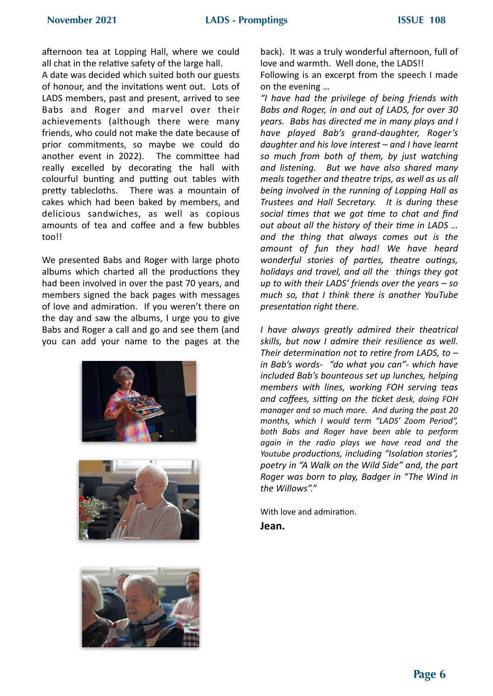afternoon tea at Lopping Hall, where we could all chat in the relative safety of the large hall.

A date was decided which suited both our guests of honour, and the invitations went out. Lots of LADS members, past and present, arrived to see Babs and Roger and marvel over their achievements (although there were many friends, who could not make the date because of prior commitments, so maybe we could do another event in 2022). The committee had really excelled by decorating the hall with colourful bunting and putting out tables with pretty tablecloths. There was a mountain of cakes which had been baked by members, and delicious sandwiches, as well as copious amounts of tea and coffee and a few bubbles too!!

We presented Babs and Roger with large photo albums which charted all the productions they had been involved in over the past 70 years, and members signed the back pages with messages of love and admiration. If you weren't there on the day and saw the albums, I urge you to give Babs and Roger a call and go and see them (and you can add your name to the pages at the







back). It was a truly wonderful afternoon, full of love and warmth. Well done, the LADS!!

Following is an excerpt from the speech I made on the evening ...

*"I have had the privilege of being friends with*  Babs and Roger, in and out of LADS, for over 30 *years. Babs has directed me in many plays and I have played Bab's grand-daughter, Roger's*  daughter and his love interest – and I have learnt so much from both of them, by just watching *and listening. But we have also shared many meals together and theatre trips, as well as us all* being involved in the running of Lopping Hall as Trustees and Hall Secretary. It is during these *social times that we got time to chat and find out about all the history of their time in LADS ...* and the thing that always comes out is the *amount of fun they had! We have heard wonderful stories of parties, theatre outings, holidays and travel, and all the things they got up* to with their LADS' friends over the years – so *much* so, that I think there is another YouTube *presentation right there.* 

*I have always greatly admired their theatrical*  skills, but now I admire their resilience as well. Their determination not to retire from LADS, to in Bab's words- "do what you can"- which have *included Bab's bounteous set up lunches, helping members with lines, working FOH serving teas*  and coffees, sitting on the ticket desk, doing FOH *manager and so much more. And during the past 20 months, which I would term "LADS' Zoom Period", both Babs and Roger have been able to perform*  again in the radio plays we have read and the Youtube productions, including "Isolation stories", poetry in "A Walk on the Wild Side" and, the part *Roger* was born to play, Badger in "The Wind in *the Willows"."*

With love and admiration.

**Jean.**